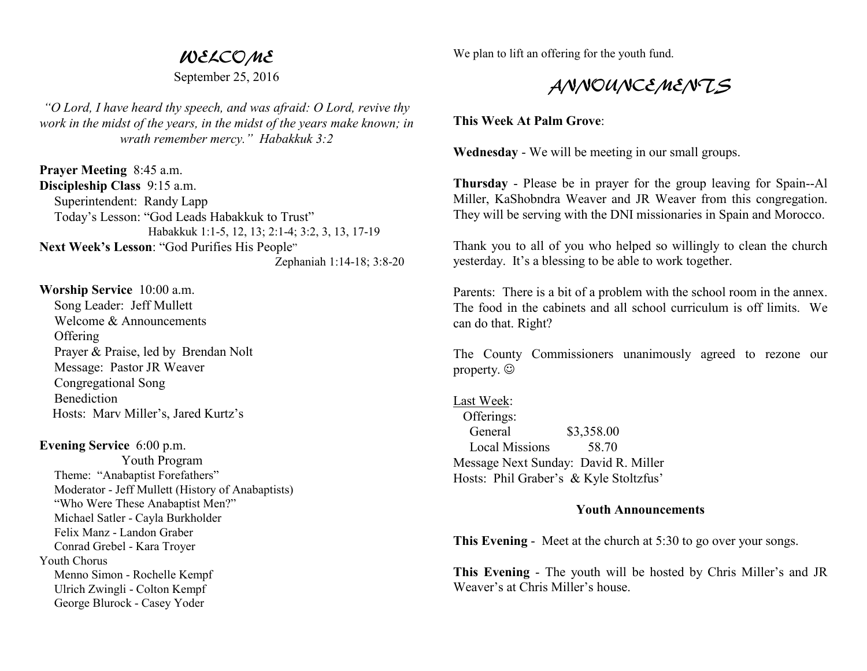## WELCOME

September 25, 2016

*"O Lord, I have heard thy speech, and was afraid: O Lord, revive thy work in the midst of the years, in the midst of the years make known; in wrath remember mercy." Habakkuk 3:2* 

**Prayer Meeting** 8:45 a.m. **Discipleship Class** 9:15 a.m. Superintendent: Randy Lapp Today's Lesson: "God Leads Habakkuk to Trust" Habakkuk 1:1-5, 12, 13; 2:1-4; 3:2, 3, 13, 17-19 **Next Week's Lesson**: "God Purifies His People" Zephaniah 1:14-18; 3:8-20

**Worship Service** 10:00 a.m. Song Leader: Jeff Mullett Welcome & Announcements **Offering**  Prayer & Praise, led by Brendan Nolt Message: Pastor JR Weaver Congregational Song **Benediction** Hosts: Marv Miller's, Jared Kurtz's

**Evening Service** 6:00 p.m.

 Youth Program Theme: "Anabaptist Forefathers" Moderator - Jeff Mullett (History of Anabaptists) "Who Were These Anabaptist Men?" Michael Satler - Cayla Burkholder Felix Manz - Landon Graber Conrad Grebel - Kara Troyer Youth Chorus Menno Simon - Rochelle Kempf Ulrich Zwingli - Colton Kempf George Blurock - Casey Yoder

We plan to lift an offering for the youth fund.

## ANNOUNCEMENTS

**This Week At Palm Grove**:

**Wednesday** - We will be meeting in our small groups.

**Thursday** - Please be in prayer for the group leaving for Spain--Al Miller, KaShobndra Weaver and JR Weaver from this congregation. They will be serving with the DNI missionaries in Spain and Morocco.

Thank you to all of you who helped so willingly to clean the church yesterday. It's a blessing to be able to work together.

Parents: There is a bit of a problem with the school room in the annex. The food in the cabinets and all school curriculum is off limits. We can do that. Right?

The County Commissioners unanimously agreed to rezone our property. ☺

Last Week: Offerings: General \$3,358.00 Local Missions 58.70 Message Next Sunday: David R. Miller Hosts: Phil Graber's & Kyle Stoltzfus'

## **Youth Announcements**

**This Evening** - Meet at the church at 5:30 to go over your songs.

**This Evening** - The youth will be hosted by Chris Miller's and JRWeaver's at Chris Miller's house.